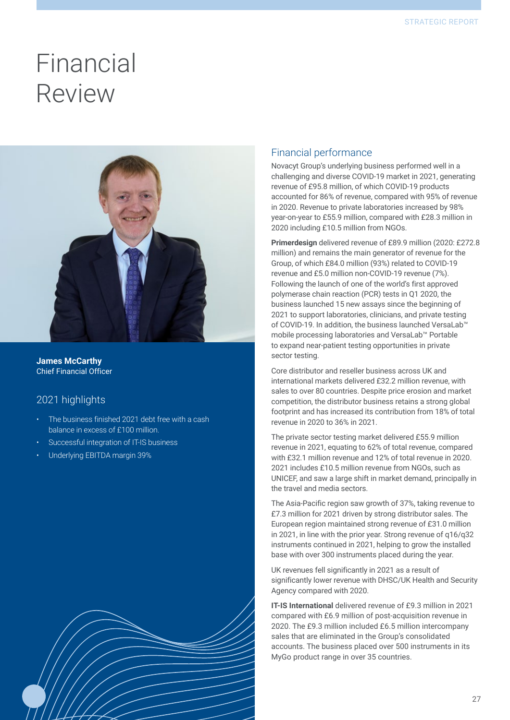## Financial Review



**James McCarthy** Chief Financial Officer

## 2021 highlights

- The business finished 2021 debt free with a cash balance in excess of £100 million.
- Successful integration of IT-IS business
- Underlying EBITDA margin 39%



### Financial performance

Novacyt Group's underlying business performed well in a challenging and diverse COVID-19 market in 2021, generating revenue of £95.8 million, of which COVID-19 products accounted for 86% of revenue, compared with 95% of revenue in 2020. Revenue to private laboratories increased by 98% year-on-year to £55.9 million, compared with £28.3 million in 2020 including £10.5 million from NGOs.

**Primerdesign** delivered revenue of £89.9 million (2020: £272.8 million) and remains the main generator of revenue for the Group, of which £84.0 million (93%) related to COVID-19 revenue and £5.0 million non-COVID-19 revenue (7%). Following the launch of one of the world's first approved polymerase chain reaction (PCR) tests in Q1 2020, the business launched 15 new assays since the beginning of 2021 to support laboratories, clinicians, and private testing of COVID-19. In addition, the business launched VersaLab™ mobile processing laboratories and VersaLab™ Portable to expand near-patient testing opportunities in private sector testing.

Core distributor and reseller business across UK and international markets delivered £32.2 million revenue, with sales to over 80 countries. Despite price erosion and market competition, the distributor business retains a strong global footprint and has increased its contribution from 18% of total revenue in 2020 to 36% in 2021.

The private sector testing market delivered £55.9 million revenue in 2021, equating to 62% of total revenue, compared with £32.1 million revenue and 12% of total revenue in 2020. 2021 includes £10.5 million revenue from NGOs, such as UNICEF, and saw a large shift in market demand, principally in the travel and media sectors.

The Asia-Pacific region saw growth of 37%, taking revenue to £7.3 million for 2021 driven by strong distributor sales. The European region maintained strong revenue of £31.0 million in 2021, in line with the prior year. Strong revenue of q16/q32 instruments continued in 2021, helping to grow the installed base with over 300 instruments placed during the year.

UK revenues fell significantly in 2021 as a result of significantly lower revenue with DHSC/UK Health and Security Agency compared with 2020.

**IT-IS International** delivered revenue of £9.3 million in 2021 compared with £6.9 million of post-acquisition revenue in 2020. The £9.3 million included £6.5 million intercompany sales that are eliminated in the Group's consolidated accounts. The business placed over 500 instruments in its MyGo product range in over 35 countries.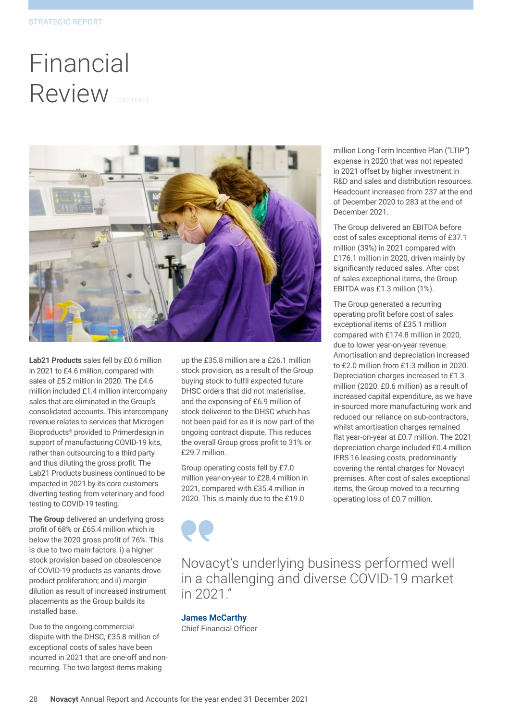# Financial Review continued



**Lab21 Products** sales fell by £0.6 million in 2021 to £4.6 million, compared with sales of £5.2 million in 2020. The £4.6 million included £1.4 million intercompany sales that are eliminated in the Group's consolidated accounts. This intercompany revenue relates to services that Microgen Bioproducts® provided to Primerdesign in support of manufacturing COVID-19 kits, rather than outsourcing to a third party and thus diluting the gross profit. The Lab21 Products business continued to be impacted in 2021 by its core customers diverting testing from veterinary and food testing to COVID-19 testing.

**The Group** delivered an underlying gross profit of 68% or £65.4 million which is below the 2020 gross profit of 76%. This is due to two main factors: i) a higher stock provision based on obsolescence of COVID-19 products as variants drove product proliferation; and ii) margin dilution as result of increased instrument placements as the Group builds its installed base.

Due to the ongoing commercial dispute with the DHSC, £35.8 million of exceptional costs of sales have been incurred in 2021 that are one-off and nonrecurring. The two largest items making

up the £35.8 million are a £26.1 million stock provision, as a result of the Group buying stock to fulfil expected future DHSC orders that did not materialise, and the expensing of £6.9 million of stock delivered to the DHSC which has not been paid for as it is now part of the ongoing contract dispute. This reduces the overall Group gross profit to 31% or £29.7 million.

Group operating costs fell by £7.0 million year-on-year to £28.4 million in 2021, compared with £35.4 million in 2020. This is mainly due to the £19.0

million Long-Term Incentive Plan ("LTIP") expense in 2020 that was not repeated in 2021 offset by higher investment in R&D and sales and distribution resources. Headcount increased from 237 at the end of December 2020 to 283 at the end of December 2021.

The Group delivered an EBITDA before cost of sales exceptional items of £37.1 million (39%) in 2021 compared with £176.1 million in 2020, driven mainly by significantly reduced sales. After cost of sales exceptional items, the Group EBITDA was £1.3 million (1%).

The Group generated a recurring operating profit before cost of sales exceptional items of £35.1 million compared with £174.8 million in 2020, due to lower year-on-year revenue. Amortisation and depreciation increased to £2.0 million from £1.3 million in 2020. Depreciation charges increased to £1.3 million (2020: £0.6 million) as a result of increased capital expenditure, as we have in-sourced more manufacturing work and reduced our reliance on sub-contractors, whilst amortisation charges remained flat year-on-year at £0.7 million. The 2021 depreciation charge included £0.4 million IFRS 16 leasing costs, predominantly covering the rental charges for Novacyt premises. After cost of sales exceptional items, the Group moved to a recurring operating loss of £0.7 million.

Novacyt's underlying business performed well in a challenging and diverse COVID-19 market in 2021."

**James McCarthy** Chief Financial Officer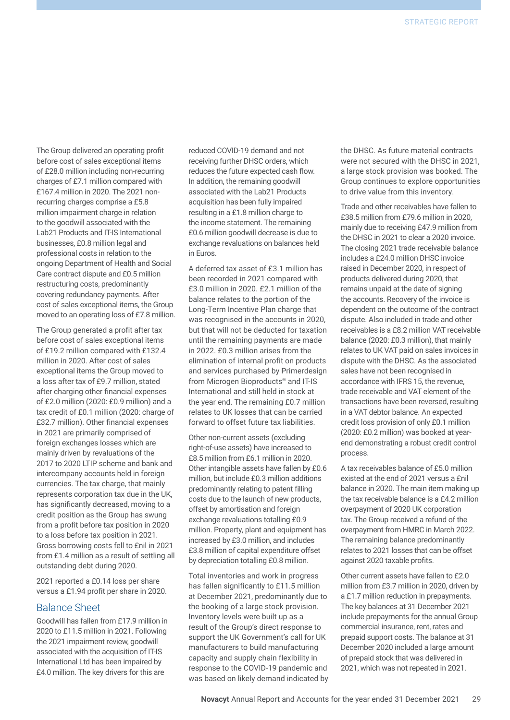The Group delivered an operating profit before cost of sales exceptional items of £28.0 million including non-recurring charges of £7.1 million compared with £167.4 million in 2020. The 2021 nonrecurring charges comprise a £5.8 million impairment charge in relation to the goodwill associated with the Lab21 Products and IT-IS International businesses, £0.8 million legal and professional costs in relation to the ongoing Department of Health and Social Care contract dispute and £0.5 million restructuring costs, predominantly covering redundancy payments. After cost of sales exceptional items, the Group moved to an operating loss of £7.8 million.

The Group generated a profit after tax before cost of sales exceptional items of £19.2 million compared with £132.4 million in 2020. After cost of sales exceptional items the Group moved to a loss after tax of £9.7 million, stated after charging other financial expenses of £2.0 million (2020: £0.9 million) and a tax credit of £0.1 million (2020: charge of £32.7 million). Other financial expenses in 2021 are primarily comprised of foreign exchanges losses which are mainly driven by revaluations of the 2017 to 2020 LTIP scheme and bank and intercompany accounts held in foreign currencies. The tax charge, that mainly represents corporation tax due in the UK, has significantly decreased, moving to a credit position as the Group has swung from a profit before tax position in 2020 to a loss before tax position in 2021. Gross borrowing costs fell to £nil in 2021 from £1.4 million as a result of settling all outstanding debt during 2020.

2021 reported a £0.14 loss per share versus a £1.94 profit per share in 2020.

#### Balance Sheet

Goodwill has fallen from £17.9 million in 2020 to £11.5 million in 2021. Following the 2021 impairment review, goodwill associated with the acquisition of IT-IS International Ltd has been impaired by £4.0 million. The key drivers for this are

reduced COVID-19 demand and not receiving further DHSC orders, which reduces the future expected cash flow. In addition, the remaining goodwill associated with the Lab21 Products acquisition has been fully impaired resulting in a £1.8 million charge to the income statement. The remaining £0.6 million goodwill decrease is due to exchange revaluations on balances held in Euros.

A deferred tax asset of £3.1 million has been recorded in 2021 compared with £3.0 million in 2020. £2.1 million of the balance relates to the portion of the Long-Term Incentive Plan charge that was recognised in the accounts in 2020, but that will not be deducted for taxation until the remaining payments are made in 2022. £0.3 million arises from the elimination of internal profit on products and services purchased by Primerdesign from Microgen Bioproducts® and IT-IS International and still held in stock at the year end. The remaining £0.7 million relates to UK losses that can be carried forward to offset future tax liabilities.

Other non-current assets (excluding right-of-use assets) have increased to £8.5 million from £6.1 million in 2020. Other intangible assets have fallen by £0.6 million, but include £0.3 million additions predominantly relating to patent filling costs due to the launch of new products, offset by amortisation and foreign exchange revaluations totalling £0.9 million. Property, plant and equipment has increased by £3.0 million, and includes £3.8 million of capital expenditure offset by depreciation totalling £0.8 million.

Total inventories and work in progress has fallen significantly to £11.5 million at December 2021, predominantly due to the booking of a large stock provision. Inventory levels were built up as a result of the Group's direct response to support the UK Government's call for UK manufacturers to build manufacturing capacity and supply chain flexibility in response to the COVID-19 pandemic and was based on likely demand indicated by the DHSC. As future material contracts were not secured with the DHSC in 2021, a large stock provision was booked. The Group continues to explore opportunities to drive value from this inventory.

Trade and other receivables have fallen to £38.5 million from £79.6 million in 2020, mainly due to receiving £47.9 million from the DHSC in 2021 to clear a 2020 invoice. The closing 2021 trade receivable balance includes a £24.0 million DHSC invoice raised in December 2020, in respect of products delivered during 2020, that remains unpaid at the date of signing the accounts. Recovery of the invoice is dependent on the outcome of the contract dispute. Also included in trade and other receivables is a £8.2 million VAT receivable balance (2020: £0.3 million), that mainly relates to UK VAT paid on sales invoices in dispute with the DHSC. As the associated sales have not been recognised in accordance with IFRS 15, the revenue, trade receivable and VAT element of the transactions have been reversed, resulting in a VAT debtor balance. An expected credit loss provision of only £0.1 million (2020: £0.2 million) was booked at yearend demonstrating a robust credit control process.

A tax receivables balance of £5.0 million existed at the end of 2021 versus a £nil balance in 2020. The main item making up the tax receivable balance is a £4.2 million overpayment of 2020 UK corporation tax. The Group received a refund of the overpayment from HMRC in March 2022. The remaining balance predominantly relates to 2021 losses that can be offset against 2020 taxable profits.

Other current assets have fallen to £2.0 million from £3.7 million in 2020, driven by a £1.7 million reduction in prepayments. The key balances at 31 December 2021 include prepayments for the annual Group commercial insurance, rent, rates and prepaid support costs. The balance at 31 December 2020 included a large amount of prepaid stock that was delivered in 2021, which was not repeated in 2021.